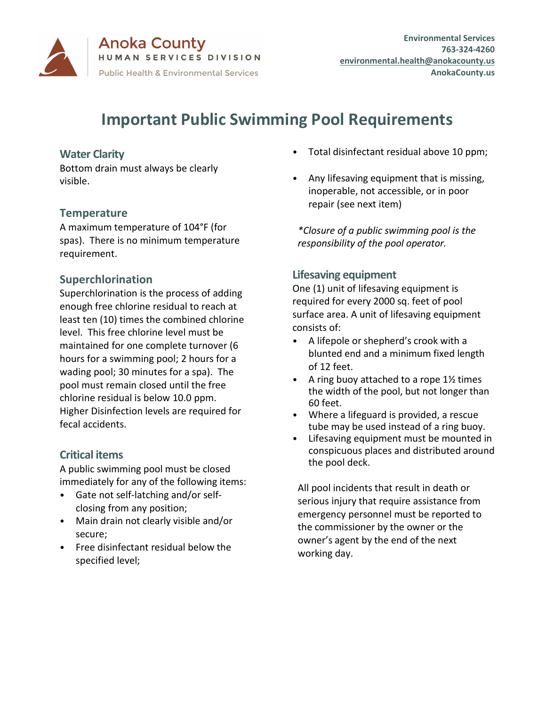

**Anoka County** HUMAN SERVICES DIVISION **Public Health & Environmental Services** 

**Environmental Services 763-324-4260 [environmental.health@anokacounty.us](mailto:environmental.health@anokacounty.us) AnokaCounty.us**

# **Important Public Swimming Pool Requirements**

## **Water Clarity**

Bottom drain must always be clearly visible.

## **Temperature**

A maximum temperature of 104°F (for spas). There is no minimum temperature requirement.

## **Superchlorination**

Superchlorination is the process of adding enough free chlorine residual to reach at least ten (10) times the combined chlorine level. This free chlorine level must be maintained for one complete turnover (6 hours for a swimming pool; 2 hours for a wading pool; 30 minutes for a spa). The pool must remain closed until the free chlorine residual is below 10.0 ppm. Higher Disinfection levels are required for fecal accidents.

## **Critical items**

A public swimming pool must be closed immediately for any of the following items:

- Gate not self-latching and/or selfclosing from any position;
- Main drain not clearly visible and/or secure;
- Free disinfectant residual below the specified level;
- Total disinfectant residual above 10 ppm;
- Any lifesaving equipment that is missing, inoperable, not accessible, or in poor repair (see next item)

*\*Closure of a public swimming pool is the responsibility of the pool operator.*

## **Lifesaving equipment**

One (1) unit of lifesaving equipment is required for every 2000 sq. feet of pool surface area. A unit of lifesaving equipment consists of:

- A lifepole or shepherd's crook with a blunted end and a minimum fixed length of 12 feet.
- A ring buoy attached to a rope  $1\frac{1}{2}$  times the width of the pool, but not longer than 60 feet.
- Where a lifeguard is provided, a rescue tube may be used instead of a ring buoy.
- Lifesaving equipment must be mounted in conspicuous places and distributed around the pool deck.

All pool incidents that result in death or serious injury that require assistance from emergency personnel must be reported to the commissioner by the owner or the owner's agent by the end of the next working day.